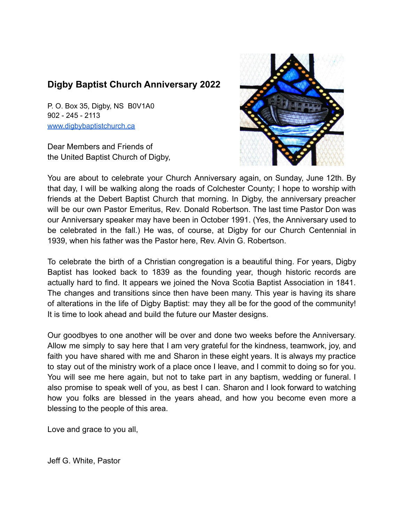## **Digby Baptist Church Anniversary 2022**

P. O. Box 35, Digby, NS B0V1A0 902 - 245 - 2113 [www.digbybaptistchurch.ca](http://www.digbybaptistchurch.ca)

Dear Members and Friends of the United Baptist Church of Digby,



You are about to celebrate your Church Anniversary again, on Sunday, June 12th. By that day, I will be walking along the roads of Colchester County; I hope to worship with friends at the Debert Baptist Church that morning. In Digby, the anniversary preacher will be our own Pastor Emeritus, Rev. Donald Robertson. The last time Pastor Don was our Anniversary speaker may have been in October 1991. (Yes, the Anniversary used to be celebrated in the fall.) He was, of course, at Digby for our Church Centennial in 1939, when his father was the Pastor here, Rev. Alvin G. Robertson.

To celebrate the birth of a Christian congregation is a beautiful thing. For years, Digby Baptist has looked back to 1839 as the founding year, though historic records are actually hard to find. It appears we joined the Nova Scotia Baptist Association in 1841. The changes and transitions since then have been many. This year is having its share of alterations in the life of Digby Baptist: may they all be for the good of the community! It is time to look ahead and build the future our Master designs.

Our goodbyes to one another will be over and done two weeks before the Anniversary. Allow me simply to say here that I am very grateful for the kindness, teamwork, joy, and faith you have shared with me and Sharon in these eight years. It is always my practice to stay out of the ministry work of a place once I leave, and I commit to doing so for you. You will see me here again, but not to take part in any baptism, wedding or funeral. I also promise to speak well of you, as best I can. Sharon and I look forward to watching how you folks are blessed in the years ahead, and how you become even more a blessing to the people of this area.

Love and grace to you all,

Jeff G. White, Pastor